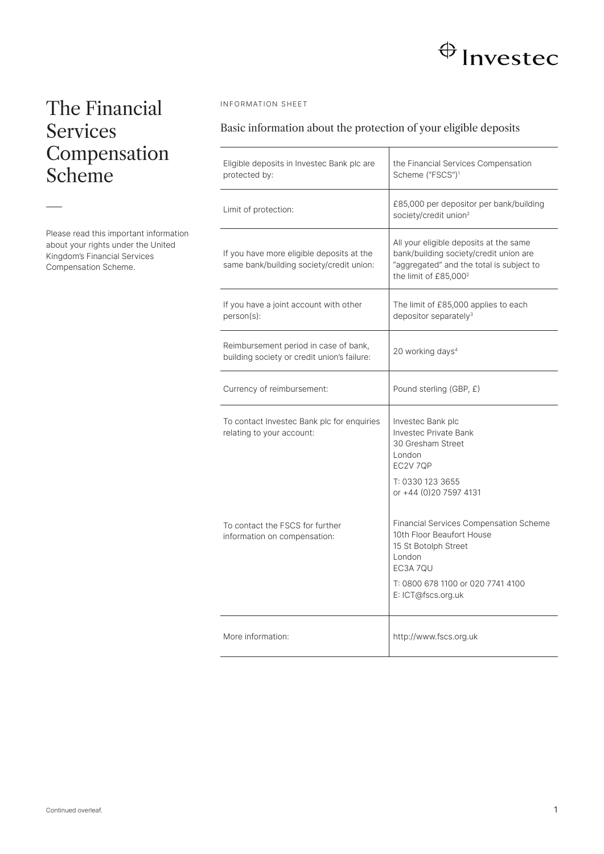# $\bigoplus$  Investec

## The Financial Services **Compensation** Scheme

Please read this important information about your rights under the United Kingdom's Financial Services Compensation Scheme.

## INFORMATION SHEET

## Basic information about the protection of your eligible deposits

| Eligible deposits in Investec Bank plc are<br>protected by:                           | the Financial Services Compensation<br>Scheme ("FSCS") <sup>1</sup>                                                                                               |
|---------------------------------------------------------------------------------------|-------------------------------------------------------------------------------------------------------------------------------------------------------------------|
| Limit of protection:                                                                  | £85,000 per depositor per bank/building<br>society/credit union <sup>2</sup>                                                                                      |
| If you have more eligible deposits at the<br>same bank/building society/credit union: | All your eligible deposits at the same<br>bank/building society/credit union are<br>"aggregated" and the total is subject to<br>the limit of £85,000 <sup>2</sup> |
| If you have a joint account with other<br>person(s):                                  | The limit of £85,000 applies to each<br>depositor separately <sup>3</sup>                                                                                         |
| Reimbursement period in case of bank,<br>building society or credit union's failure:  | 20 working days <sup>4</sup>                                                                                                                                      |
| Currency of reimbursement:                                                            | Pound sterling (GBP, £)                                                                                                                                           |
| To contact Investec Bank plc for enquiries<br>relating to your account:               | Investec Bank plc<br><b>Investec Private Bank</b><br>30 Gresham Street<br>London<br>EC2V 7QP<br>T: 0330 123 3655                                                  |
| To contact the FSCS for further<br>information on compensation:                       | or +44 (0) 20 7597 4131<br><b>Financial Services Compensation Scheme</b><br>10th Floor Beaufort House<br>15 St Botolph Street                                     |
|                                                                                       | London<br><b>FC3A 70U</b><br>T: 0800 678 1100 or 020 7741 4100<br>E: ICT@fscs.org.uk                                                                              |
| More information:                                                                     | http://www.fscs.org.uk                                                                                                                                            |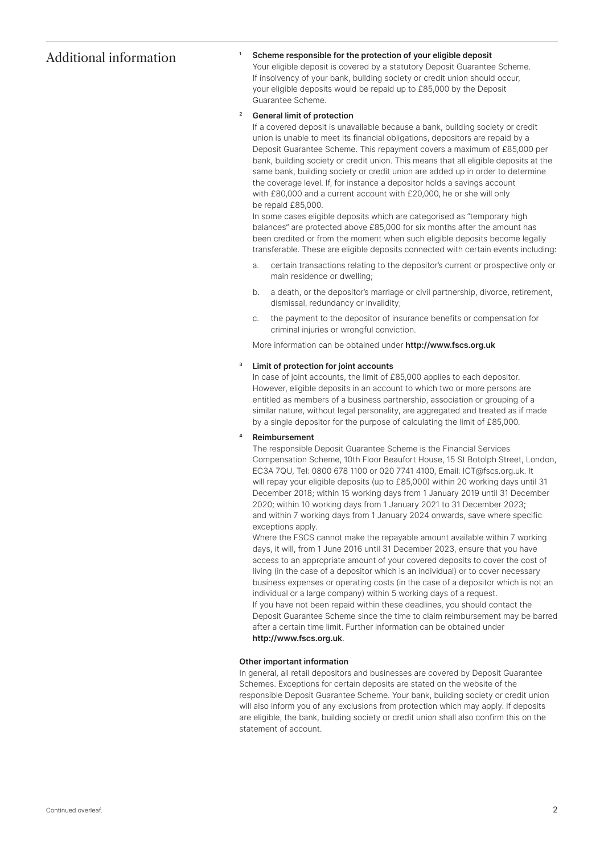## Additional information

## Scheme responsible for the protection of your eligible deposit

Your eligible deposit is covered by a statutory Deposit Guarantee Scheme. If insolvency of your bank, building society or credit union should occur, your eligible deposits would be repaid up to £85,000 by the Deposit Guarantee Scheme.

#### General limit of protection 2

1

If a covered deposit is unavailable because a bank, building society or credit union is unable to meet its financial obligations, depositors are repaid by a Deposit Guarantee Scheme. This repayment covers a maximum of £85,000 per bank, building society or credit union. This means that all eligible deposits at the same bank, building society or credit union are added up in order to determine the coverage level. If, for instance a depositor holds a savings account with £80,000 and a current account with £20,000, he or she will only be repaid £85,000.

In some cases eligible deposits which are categorised as "temporary high balances" are protected above £85,000 for six months after the amount has been credited or from the moment when such eligible deposits become legally transferable. These are eligible deposits connected with certain events including:

- a. certain transactions relating to the depositor's current or prospective only or main residence or dwelling;
- b. a death, or the depositor's marriage or civil partnership, divorce, retirement, dismissal, redundancy or invalidity;
- c. the payment to the depositor of insurance benefits or compensation for criminal injuries or wrongful conviction.

More information can be obtained under http://www.fscs.org.uk

#### Limit of protection for joint accounts 3

In case of joint accounts, the limit of £85,000 applies to each depositor. However, eligible deposits in an account to which two or more persons are entitled as members of a business partnership, association or grouping of a similar nature, without legal personality, are aggregated and treated as if made by a single depositor for the purpose of calculating the limit of £85,000.

#### Reimbursement 4

The responsible Deposit Guarantee Scheme is the Financial Services Compensation Scheme, 10th Floor Beaufort House, 15 St Botolph Street, London, EC3A 7QU, Tel: 0800 678 1100 or 020 7741 4100, Email: ICT@fscs.org.uk. It will repay your eligible deposits (up to £85,000) within 20 working days until 31 December 2018; within 15 working days from 1 January 2019 until 31 December 2020; within 10 working days from 1 January 2021 to 31 December 2023; and within 7 working days from 1 January 2024 onwards, save where specific exceptions apply.

Where the FSCS cannot make the repayable amount available within 7 working days, it will, from 1 June 2016 until 31 December 2023, ensure that you have access to an appropriate amount of your covered deposits to cover the cost of living (in the case of a depositor which is an individual) or to cover necessary business expenses or operating costs (in the case of a depositor which is not an individual or a large company) within 5 working days of a request. If you have not been repaid within these deadlines, you should contact the Deposit Guarantee Scheme since the time to claim reimbursement may be barred after a certain time limit. Further information can be obtained under http://www.fscs.org.uk.

### Other important information

In general, all retail depositors and businesses are covered by Deposit Guarantee Schemes. Exceptions for certain deposits are stated on the website of the responsible Deposit Guarantee Scheme. Your bank, building society or credit union will also inform you of any exclusions from protection which may apply. If deposits are eligible, the bank, building society or credit union shall also confirm this on the statement of account.